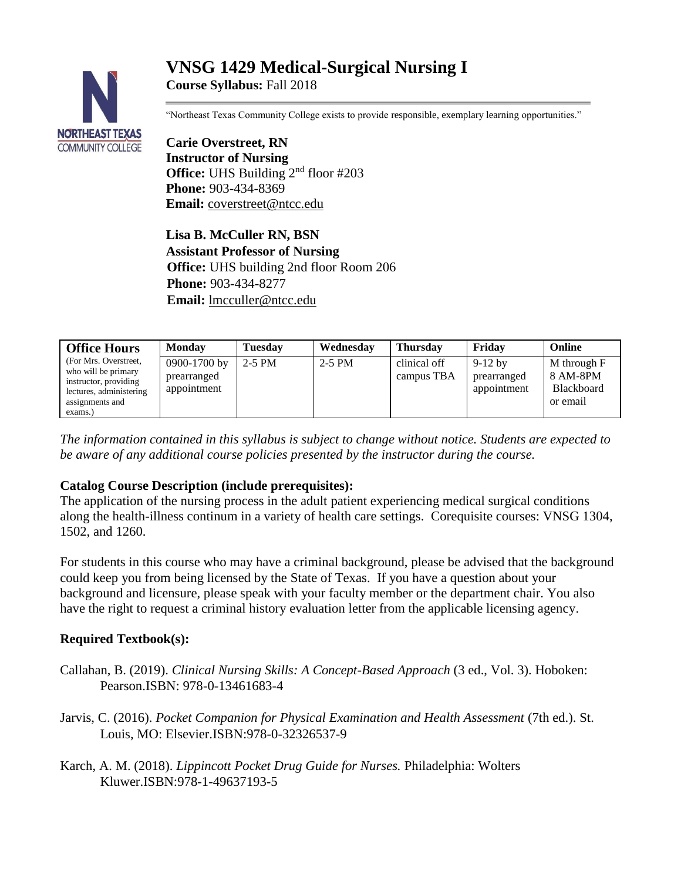# **VNSG 1429 Medical-Surgical Nursing I Course Syllabus:** Fall 2018



"Northeast Texas Community College exists to provide responsible, exemplary learning opportunities."

**Carie Overstreet, RN Instructor of Nursing Office:** UHS Building 2<sup>nd</sup> floor #203 **Phone:** 903-434-8369 **Email:** [coverstreet@ntcc.edu](mailto:coverstreet@ntcc.edu)

**Lisa B. McCuller RN, BSN Assistant Professor of Nursing Office:** UHS building 2nd floor Room 206 **Phone:** 903-434-8277 **Email:** [lmcculler@ntcc.edu](mailto:lmcculler@ntcc.edu)

| <b>Office Hours</b>                                                                                                            | <b>Monday</b>                              | <b>Tuesday</b> | Wednesday | <b>Thursday</b>            | Fridav                                  | Online                                                   |
|--------------------------------------------------------------------------------------------------------------------------------|--------------------------------------------|----------------|-----------|----------------------------|-----------------------------------------|----------------------------------------------------------|
| (For Mrs. Overstreet,<br>who will be primary<br>instructor, providing<br>lectures, administering<br>assignments and<br>exams.) | 0900-1700 by<br>prearranged<br>appointment | 2-5 PM         | $2-5$ PM  | clinical off<br>campus TBA | $9-12$ by<br>prearranged<br>appointment | M through F<br>8 AM-8PM<br><b>Blackboard</b><br>or email |

*The information contained in this syllabus is subject to change without notice. Students are expected to be aware of any additional course policies presented by the instructor during the course.*

## **Catalog Course Description (include prerequisites):**

The application of the nursing process in the adult patient experiencing medical surgical conditions along the health-illness continum in a variety of health care settings. Corequisite courses: VNSG 1304, 1502, and 1260.

For students in this course who may have a criminal background, please be advised that the background could keep you from being licensed by the State of Texas. If you have a question about your background and licensure, please speak with your faculty member or the department chair. You also have the right to request a criminal history evaluation letter from the applicable licensing agency.

## **Required Textbook(s):**

- Callahan, B. (2019). *Clinical Nursing Skills: A Concept-Based Approach* (3 ed., Vol. 3). Hoboken: Pearson.ISBN: 978-0-13461683-4
- Jarvis, C. (2016). *Pocket Companion for Physical Examination and Health Assessment* (7th ed.). St. Louis, MO: Elsevier.ISBN:978-0-32326537-9

Karch, A. M. (2018). *Lippincott Pocket Drug Guide for Nurses.* Philadelphia: Wolters Kluwer.ISBN:978-1-49637193-5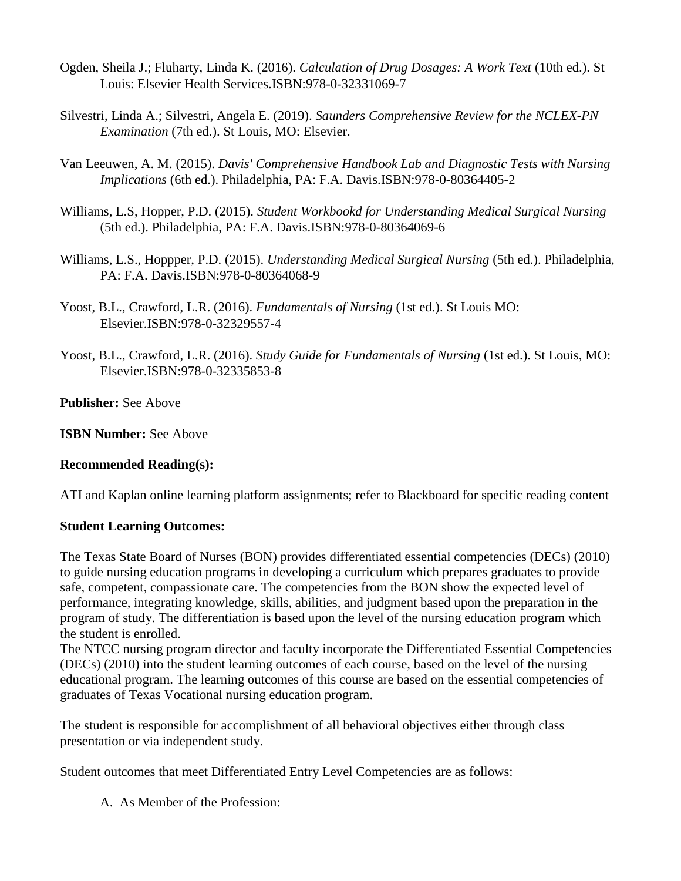- Ogden, Sheila J.; Fluharty, Linda K. (2016). *Calculation of Drug Dosages: A Work Text* (10th ed.). St Louis: Elsevier Health Services.ISBN:978-0-32331069-7
- Silvestri, Linda A.; Silvestri, Angela E. (2019). *Saunders Comprehensive Review for the NCLEX-PN Examination* (7th ed.). St Louis, MO: Elsevier.
- Van Leeuwen, A. M. (2015). *Davis' Comprehensive Handbook Lab and Diagnostic Tests with Nursing Implications* (6th ed.). Philadelphia, PA: F.A. Davis.ISBN:978-0-80364405-2
- Williams, L.S, Hopper, P.D. (2015). *Student Workbookd for Understanding Medical Surgical Nursing* (5th ed.). Philadelphia, PA: F.A. Davis.ISBN:978-0-80364069-6
- Williams, L.S., Hoppper, P.D. (2015). *Understanding Medical Surgical Nursing* (5th ed.). Philadelphia, PA: F.A. Davis.ISBN:978-0-80364068-9
- Yoost, B.L., Crawford, L.R. (2016). *Fundamentals of Nursing* (1st ed.). St Louis MO: Elsevier.ISBN:978-0-32329557-4
- Yoost, B.L., Crawford, L.R. (2016). *Study Guide for Fundamentals of Nursing* (1st ed.). St Louis, MO: Elsevier.ISBN:978-0-32335853-8

**Publisher:** See Above

**ISBN Number: See Above** 

## **Recommended Reading(s):**

ATI and Kaplan online learning platform assignments; refer to Blackboard for specific reading content

## **Student Learning Outcomes:**

The Texas State Board of Nurses (BON) provides differentiated essential competencies (DECs) (2010) to guide nursing education programs in developing a curriculum which prepares graduates to provide safe, competent, compassionate care. The competencies from the BON show the expected level of performance, integrating knowledge, skills, abilities, and judgment based upon the preparation in the program of study. The differentiation is based upon the level of the nursing education program which the student is enrolled.

The NTCC nursing program director and faculty incorporate the Differentiated Essential Competencies (DECs) (2010) into the student learning outcomes of each course, based on the level of the nursing educational program. The learning outcomes of this course are based on the essential competencies of graduates of Texas Vocational nursing education program.

The student is responsible for accomplishment of all behavioral objectives either through class presentation or via independent study.

Student outcomes that meet Differentiated Entry Level Competencies are as follows:

A. As Member of the Profession: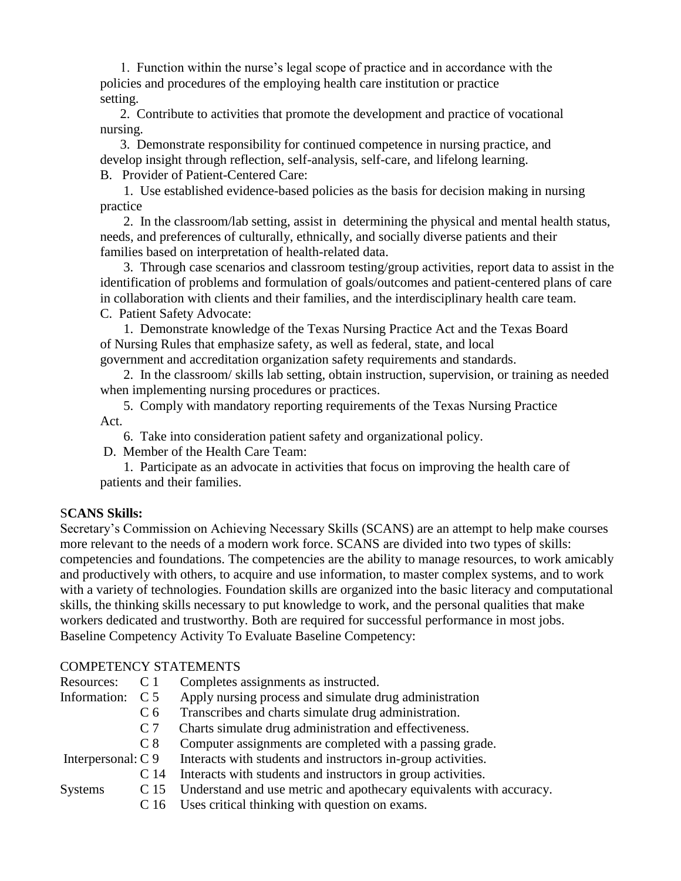1. Function within the nurse's legal scope of practice and in accordance with the policies and procedures of the employing health care institution or practice setting.

 2. Contribute to activities that promote the development and practice of vocational nursing.

 3. Demonstrate responsibility for continued competence in nursing practice, and develop insight through reflection, self-analysis, self-care, and lifelong learning. B. Provider of Patient-Centered Care:

 1. Use established evidence-based policies as the basis for decision making in nursing practice

 2. In the classroom/lab setting, assist in determining the physical and mental health status, needs, and preferences of culturally, ethnically, and socially diverse patients and their families based on interpretation of health-related data.

 3. Through case scenarios and classroom testing/group activities, report data to assist in the identification of problems and formulation of goals/outcomes and patient-centered plans of care in collaboration with clients and their families, and the interdisciplinary health care team. C. Patient Safety Advocate:

 1. Demonstrate knowledge of the Texas Nursing Practice Act and the Texas Board of Nursing Rules that emphasize safety, as well as federal, state, and local government and accreditation organization safety requirements and standards.

 2. In the classroom/ skills lab setting, obtain instruction, supervision, or training as needed when implementing nursing procedures or practices.

 5. Comply with mandatory reporting requirements of the Texas Nursing Practice Act.

6. Take into consideration patient safety and organizational policy.

D. Member of the Health Care Team:

 1. Participate as an advocate in activities that focus on improving the health care of patients and their families.

### S**CANS Skills:**

Secretary's Commission on Achieving Necessary Skills (SCANS) are an attempt to help make courses more relevant to the needs of a modern work force. SCANS are divided into two types of skills: competencies and foundations. The competencies are the ability to manage resources, to work amicably and productively with others, to acquire and use information, to master complex systems, and to work with a variety of technologies. Foundation skills are organized into the basic literacy and computational skills, the thinking skills necessary to put knowledge to work, and the personal qualities that make workers dedicated and trustworthy. Both are required for successful performance in most jobs. Baseline Competency Activity To Evaluate Baseline Competency:

## COMPETENCY STATEMENTS

| Resources: C 1 | Completes assignments as instructed.                                    |
|----------------|-------------------------------------------------------------------------|
|                | Information: C 5 Apply nursing process and simulate drug administration |
|                | $C_{\epsilon}$ Transcribes and charts simulate drug administration      |

- C 6 Transcribes and charts simulate drug administration.
- C 7 Charts simulate drug administration and effectiveness.
- C 8 Computer assignments are completed with a passing grade.

Interpersonal: C 9 Interacts with students and instructors in-group activities.

- C 14 Interacts with students and instructors in group activities.
- Systems C 15 Understand and use metric and apothecary equivalents with accuracy.
	- C 16 Uses critical thinking with question on exams.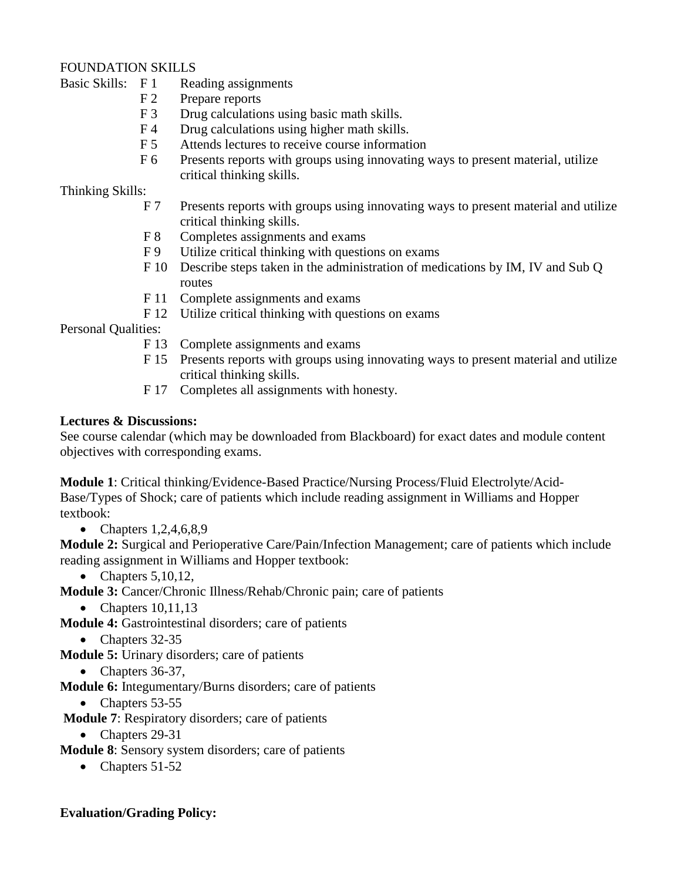## FOUNDATION SKILLS

Basic Skills: F 1 Reading assignments

- F 2 Prepare reports
- F 3 Drug calculations using basic math skills.
- F 4 Drug calculations using higher math skills.
- F 5 Attends lectures to receive course information
- F 6 Presents reports with groups using innovating ways to present material, utilize critical thinking skills.

## Thinking Skills:

- F 7 Presents reports with groups using innovating ways to present material and utilize critical thinking skills.
- F 8 Completes assignments and exams
- F 9 Utilize critical thinking with questions on exams
- F 10 Describe steps taken in the administration of medications by IM, IV and Sub Q routes
- F 11 Complete assignments and exams
- F 12 Utilize critical thinking with questions on exams

Personal Qualities:

- F 13 Complete assignments and exams
- F 15 Presents reports with groups using innovating ways to present material and utilize critical thinking skills.
- F 17 Completes all assignments with honesty.

## **Lectures & Discussions:**

See course calendar (which may be downloaded from Blackboard) for exact dates and module content objectives with corresponding exams.

**Module 1**: Critical thinking/Evidence-Based Practice/Nursing Process/Fluid Electrolyte/Acid-Base/Types of Shock; care of patients which include reading assignment in Williams and Hopper textbook:

• Chapters  $1,2,4,6,8,9$ 

**Module 2:** Surgical and Perioperative Care/Pain/Infection Management; care of patients which include reading assignment in Williams and Hopper textbook:

- $\bullet$  Chapters 5,10,12,
- **Module 3:** Cancer/Chronic Illness/Rehab/Chronic pain; care of patients
	- Chapters  $10,11,13$
- **Module 4:** Gastrointestinal disorders; care of patients

• Chapters 32-35

**Module 5:** Urinary disorders; care of patients

• Chapters  $36-37$ ,

**Module 6:** Integumentary/Burns disorders; care of patients

• Chapters 53-55

**Module 7**: Respiratory disorders; care of patients

- Chapters 29-31
- **Module 8**: Sensory system disorders; care of patients
	- $\bullet$  Chapters 51-52

## **Evaluation/Grading Policy:**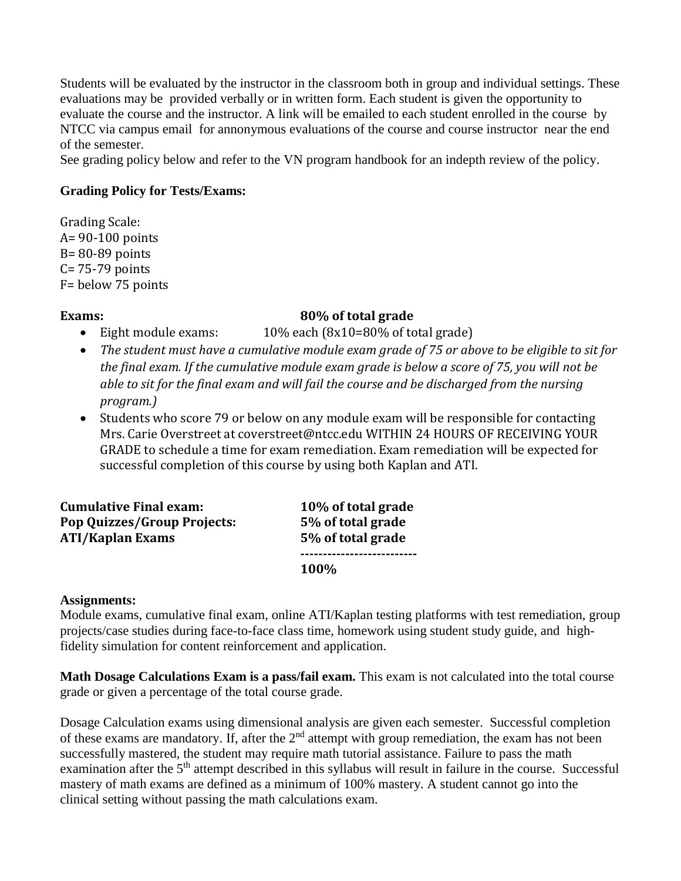Students will be evaluated by the instructor in the classroom both in group and individual settings. These evaluations may be provided verbally or in written form. Each student is given the opportunity to evaluate the course and the instructor. A link will be emailed to each student enrolled in the course by NTCC via campus email for annonymous evaluations of the course and course instructor near the end of the semester.

See grading policy below and refer to the VN program handbook for an indepth review of the policy.

### **Grading Policy for Tests/Exams:**

Grading Scale: A= 90-100 points B= 80-89 points C= 75-79 points F= below 75 points

## **Exams:** 80% of total grade

- Eight module exams:  $10\%$  each (8x10=80% of total grade)
- *The student must have a cumulative module exam grade of 75 or above to be eligible to sit for the final exam. If the cumulative module exam grade is below a score of 75, you will not be able to sit for the final exam and will fail the course and be discharged from the nursing program.)*
- Students who score 79 or below on any module exam will be responsible for contacting Mrs. Carie Overstreet at coverstreet@ntcc.edu WITHIN 24 HOURS OF RECEIVING YOUR GRADE to schedule a time for exam remediation. Exam remediation will be expected for successful completion of this course by using both Kaplan and ATI.

**Cumulative Final exam: 10% of total grade Pop Quizzes/Group Projects: 5% of total grade ATI/Kaplan Exams 5% of total grade**

**-------------------------- 100%** 

### **Assignments:**

Module exams, cumulative final exam, online ATI/Kaplan testing platforms with test remediation, group projects/case studies during face-to-face class time, homework using student study guide, and highfidelity simulation for content reinforcement and application.

**Math Dosage Calculations Exam is a pass/fail exam.** This exam is not calculated into the total course grade or given a percentage of the total course grade.

Dosage Calculation exams using dimensional analysis are given each semester. Successful completion of these exams are mandatory. If, after the  $2<sup>nd</sup>$  attempt with group remediation, the exam has not been successfully mastered, the student may require math tutorial assistance. Failure to pass the math examination after the 5<sup>th</sup> attempt described in this syllabus will result in failure in the course. Successful mastery of math exams are defined as a minimum of 100% mastery. A student cannot go into the clinical setting without passing the math calculations exam.